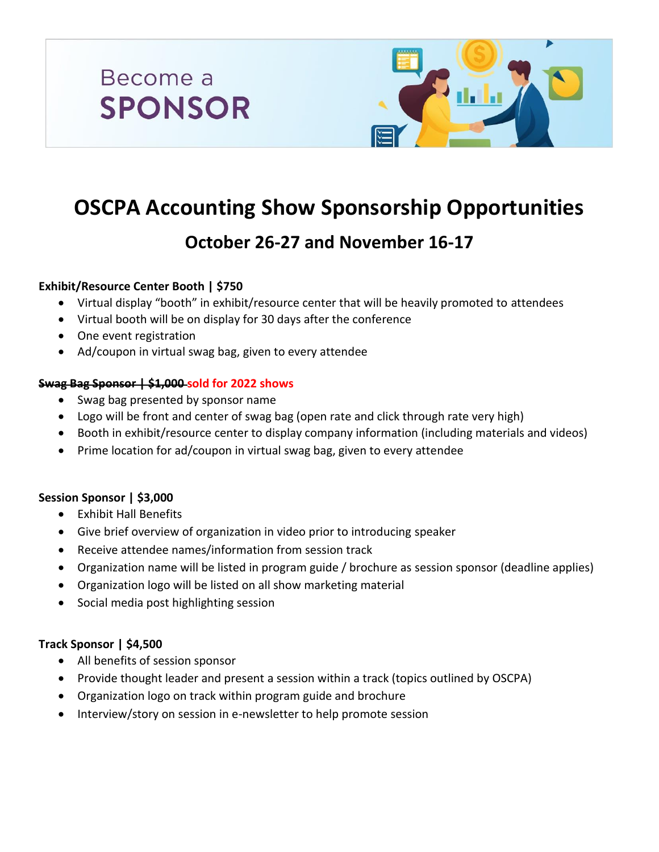



# **OSCPA Accounting Show Sponsorship Opportunities**

# **October 26-27 and November 16-17**

# **Exhibit/Resource Center Booth | \$750**

- Virtual display "booth" in exhibit/resource center that will be heavily promoted to attendees
- Virtual booth will be on display for 30 days after the conference
- One event registration
- Ad/coupon in virtual swag bag, given to every attendee

#### **Swag Bag Sponsor | \$1,000 sold for 2022 shows**

- Swag bag presented by sponsor name
- Logo will be front and center of swag bag (open rate and click through rate very high)
- Booth in exhibit/resource center to display company information (including materials and videos)
- Prime location for ad/coupon in virtual swag bag, given to every attendee

#### **Session Sponsor | \$3,000**

- Exhibit Hall Benefits
- Give brief overview of organization in video prior to introducing speaker
- Receive attendee names/information from session track
- Organization name will be listed in program guide / brochure as session sponsor (deadline applies)
- Organization logo will be listed on all show marketing material
- Social media post highlighting session

#### **Track Sponsor | \$4,500**

- All benefits of session sponsor
- Provide thought leader and present a session within a track (topics outlined by OSCPA)
- Organization logo on track within program guide and brochure
- Interview/story on session in e-newsletter to help promote session